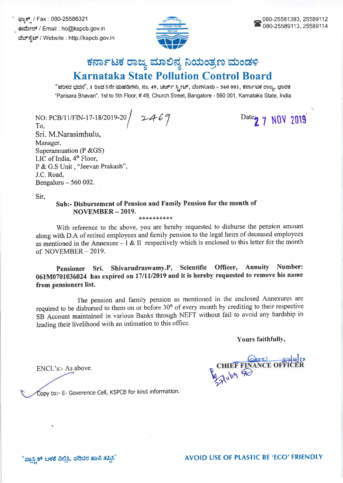ಫ್ಯಾಕ್ಸ್ / Fax : 080-25586321 ಈಮೇಲ್ / Email : ho@kspcb.gov.in ವೆಬ್ ಸ್ಪೆಟ್ / Website : http://kspcb.gov.in



## ಕರ್ನಾಟಕ ರಾಜ್ಯ ಮಾಲಿನ್ಯ ನಿಯಂತ್ರಣ ಮಂಡಳಿ **Karnataka State Pollution Control Board**

"ಪರಿಸರ ಭವನ", 1 ರಿಂದ 5ನೇ ಮಹಡಿಗಳು, ನಂ. 49, ಚರ್ಚ್ ಸ್ಟೀಟ್, ಬೆಂಗಳೂರು - 560 001, ಕರ್ನಾಟಕ ರಾಜ್ಯ, ಭಾರತ "Parisara Bhavan", 1st to 5th Floor, # 49, Church Street, Bangalore - 560 001, Karnataka State, India

NO: PCB/11/FIN-17-18/2019-20 2469 To.

Sri. M.Narasimhulu, Manager, Superannuation ( $P & GSS$ ) LIC of India, 4<sup>th</sup> Floor, P & G.S Unit, "Jeevan Prakash", J.C. Road, Bengaluru  $-560002$ .

Date 2 7 NOV 2019

Sir.

## Sub:- Disbursement of Pension and Family Pension for the month of NOVEMBER-2019. \*\*\*\*\*\*\*\*\*\*

With reference to the above, you are hereby requested to disburse the pension amount along with D.A of retired employees and family pension to the legal heirs of deceased employees as mentioned in the Annexure – I & II respectively which is enclosed to this letter for the month of NOVEMBER - 2019.

Pensioner Sri. Shivarudraswamy.P, Scientific Officer, Annuity Number: 061M0701036024 has expired on 17/11/2019 and it is hereby requested to remove his name from pensioners list.

The pension and family pension as mentioned in the enclosed Annexures are required to be disbursed to them on or before 30<sup>th</sup> of every month by crediting to their respective SB Account maintained in various Banks through NEFT without fail to avoid any hardship in leading their livelihood with an intimation to this office.

Yours faithfully,

ENCL's:- As above.

Copy to:- E- Goverence Cell, KSPCB for kind information.

CHIEF FINANCE OFFIC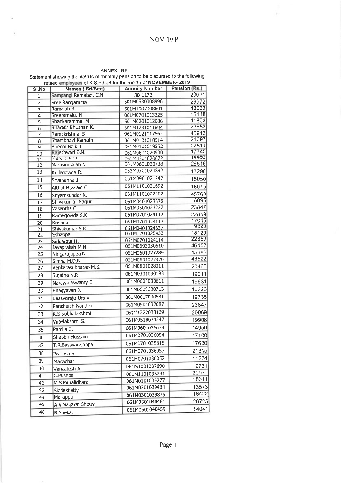## NOV-I9 P

×

ANNEXURE <mark>-</mark>1

Statement showing the details of monlhly pension to be disbursed to the following retired employees of K S P C B for the month of NOVEMBER- 2019

| SI.No           | Names (Sri/Smt)                | <b>Annuity Number</b>            | Pension (Rs.)  |
|-----------------|--------------------------------|----------------------------------|----------------|
| $\mathbf{1}$    | Sampangi Ramaiah. C.N.         | 30-1170                          | 20631          |
| $\overline{2}$  | Sree Rangamma                  | 501M0530008996                   | 26972          |
| 3               | Ramaiah B.                     | 501M1007008601                   | 48063          |
| $\overline{4}$  | Sreeramalu. N                  | 061M0701013225                   | 16148          |
| $\overline{5}$  | Shankaramma. M                 | 501M0201012086                   | 11803          |
| $\overline{6}$  | Bharat'n Bhushan K.            | 501M1231011694                   | 23882          |
| 7               | Ramakrishna. S                 | 061M0121017562                   | 46913          |
| $\overline{8}$  | Shambhavi Kamath               | 061M0101018514                   | 21097          |
| $\overline{9}$  | Bheem Naik T.                  | 061M0101018552                   | 22811<br>17745 |
| 10              | Rajeshwari B.N.<br>Muralidhara | 061M0601020930                   | 14452          |
| 11              | Narasimhaiah N.                | 061M0301020672<br>061M0601020738 | 26516          |
| 12              |                                | 061M0701020892                   | 17296          |
| 13              | Kullegowda D.                  |                                  |                |
| 14              | Shamanna J.                    | 061M0901021242                   | 15050          |
| 15              | Althaf Hussain C.              | 061M1101021692                   | 18615          |
| 16              | Shyamsundar R.                 | 061M1101022207                   | 45768          |
| 17              | Shivakumar Nagur               | 061M0401023678                   | 16895          |
| 18              | Vasantha C.                    | 061M0501023227                   | 23847          |
| 19              | Ramegowda S.K.                 | 061M0701024112                   | 22859          |
| $\overline{20}$ | Krishna                        | 061M0701024113                   | 17045          |
| $\overline{21}$ | Shivakumar S.R.                | 061M0401024637                   | 9329           |
| 22              | Eshappa                        | 061M1201025433                   | 18120          |
| 23              | Siddaraju H.                   | 061M0701024114                   | 22859          |
| 24              | Jayapraksh M.N.                | 061M0603030610                   | 46452          |
| 25              | Ningarajappa N.                | 061M0601027289                   | 15686          |
| 26              | Simha M.D.N.                   | 061M0601027370                   | 48522          |
| 27              | Venkatasubbarao M.S.           | 061M0801028311                   | 20466          |
| 28              | Sujatha N.R.                   | 061M0301030193                   | 19011          |
| 29              | Narayanaswamy C.               | 061M0603030611                   | 19931          |
| 30              | Bhagyavan J.                   | 061M0609030713                   | 10220          |
| 31              | Basavaraju Urs V.              | 061M0617030831                   | 19735          |
| 32              | Panchaiah Nandikol             | 061M0901032087                   | 23847          |
| 33              | K.S Subbalakshmi               | 061M1222033169                   | 20069          |
| 34              | Vijaylakshmi G.                | 061M0518034247                   | 19908          |
| 35              | Pamila G.                      | 061M0601035674                   | 14956          |
| 36              | Shabbir Hussain                | 061M0701036054                   | 17100          |
| 37              | T.R.Basavarajappa              | 061M0701035818                   | 17630          |
| 38              | Prakash S.                     | 061M0701036057                   | 21315          |
| 39              | Madachar                       | 061M0701036052                   | 11234          |
| 40              | Venkatesh A.T                  | 061M1001037690                   | 19731          |
|                 |                                | 061M1101038791                   | 20970          |
| 41              | C.Pushpa<br>M.S.Muralidhara    | 061M0101039277                   | 18611          |
| 42              |                                | 061M0201039434                   | 13573          |
| 43              | Siddashetty                    | 061M0301039875                   | 18422          |
| 44              | Mallappa                       | 061M0501040461                   | 26725          |
| 45              | A.V.Nagaraj Shetty             | 061M0501040459                   | 14041          |
| 46              | R.Shekar                       |                                  |                |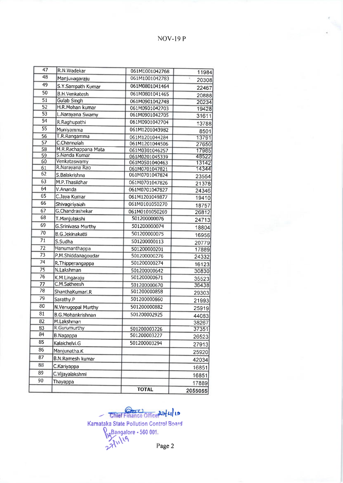NOV-I9 P

| 47              | R.N.Wadekar                    | 061M1001042768                   | 11984   |
|-----------------|--------------------------------|----------------------------------|---------|
| 48              | Manjunagaraju                  | 061M1001042783                   | 20308   |
| 49              | S.Y.Sampath Kumar              | 061M0801041464                   | 22467   |
| 50              | <b>B.H.Venkatesh</b>           | 061M0801041465                   | 20888   |
| $\overline{51}$ | <b>Gulab Singh</b>             | 061M0901042748                   | 20234   |
| 52              | H.R.Mohan kumar                | 061M0901042703                   | 19428   |
| 53              | L.Narayana Swamy               | 061M0901042705                   | 31611   |
| 54              | R.Raghupathi                   | 061M0901042704                   | 13788   |
| $\overline{55}$ | Muniyamma                      | 061M1201043982                   | 8501    |
| 56              | T.R.Rangamma                   | 061M1201044284                   | 13791   |
| 57              | C.Channaiah                    | 061M1201044506                   | 27650   |
| $\overline{58}$ | M.R.Rachappana Mata            | 061M0301046257                   | 17985   |
| 59              | S.Nanda Kumar                  | 061M0201045339                   | 48522   |
| 60<br>61        | Venkataswamy<br>R.Narayana Rao | 061M0501040463                   | 13142   |
| 62              | S.Balakrishna                  | 061M0701047821<br>061M0701047824 | 14344   |
| 63              | M.P. Thasildhar                |                                  | 23554   |
| 64              | V.Ananda                       | 061M0701047826                   | 21378   |
| 65              |                                | 061M0701047827                   | 24346   |
| 66              | C.Jaya Kumar                   | 061M1201049877                   | 19410   |
|                 | Shivagiriyaiah                 | 061M0101050270                   | 18757   |
| 67<br>68        | G.Chandrashekar                | 061M0101050269                   | 26812   |
|                 | T.Manjulakshi                  | 501200000076                     | 24713   |
| 69              | <b>G.Srinivasa Murthy</b>      | 501200000074                     | 18804   |
| 70              | <b>B.G.Jekinakatti</b>         | 501200000075                     | 16956   |
| 71              | S.Sudha                        | 501200000113                     | 20779   |
| 72              | Hanumanthappa                  | 501200000201                     | 17889   |
| $\overline{73}$ | P.M.Shiddanagoudar             | 501200000276                     | 24332   |
| 74              | R.Thipperangappa               | 501200000274                     | 16123   |
| 75              | N.Lakshman                     | 501200000642                     | 30830   |
| $\overline{76}$ | K.M.Lingaraju                  | 501200000671                     | 35523   |
| 77              | C.M.Satheesh                   | 501200000670                     | 36438   |
| 78              | ShanthaKumari, R               | 501200000858                     | 29303   |
| 79              | Sarathy.P                      | 501200000860                     | 21993   |
| 80              | N.Venugopal Murthy             | 501200000882                     | 25919   |
| 81              | <b>B.G.Mohankrishnan</b>       | 501200002925                     | 44083   |
| 82              | M.Lakshman                     |                                  | 38267   |
| 83              | R.Gurumurthy                   | 501200003226                     | 37351   |
| 84              | <b>B.Nagappa</b>               | 501200003227                     | 26523   |
| 85              | Kalaichelvi.G                  | 501200003294                     | 27913   |
| 86              | Manjunatha.K                   |                                  | 25920   |
| 87              | <b>B.N.Ramesh kumar</b>        |                                  | 42034   |
| 88              | C.Kariyappa                    |                                  | 16851   |
| 89              | C.Vijayalakshmi                |                                  | 16851   |
| 90              | Thayappa                       |                                  |         |
|                 |                                | <b>TOTAL</b>                     | 17889   |
|                 |                                |                                  | 2055055 |

Chief Finance Office 22/4/15 Karnataka State Pollution Control Board  $\frac{16561}{16}$ <sup>11</sub>(4)</sup> Page 2